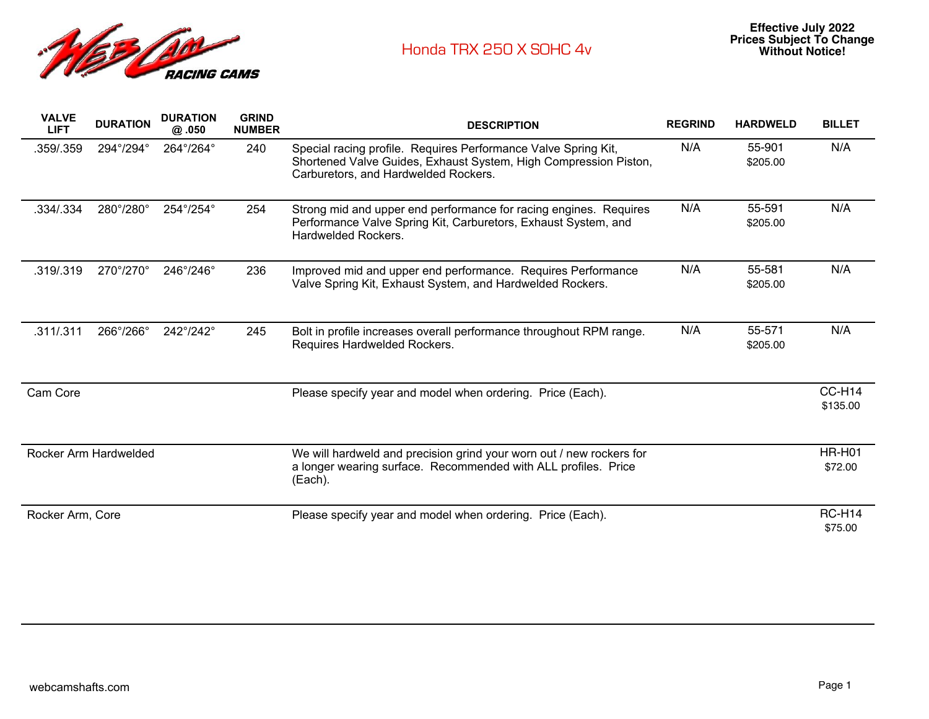

| <b>VALVE</b><br><b>LIFT</b> | <b>DURATION</b>           | <b>DURATION</b><br>@ .050 | <b>GRIND</b><br><b>NUMBER</b> | <b>DESCRIPTION</b>                                                                                                                                                         | <b>REGRIND</b> | <b>HARDWELD</b>    | <b>BILLET</b>            |
|-----------------------------|---------------------------|---------------------------|-------------------------------|----------------------------------------------------------------------------------------------------------------------------------------------------------------------------|----------------|--------------------|--------------------------|
| .359/.359                   | 294°/294°                 | 264°/264°                 | 240                           | Special racing profile. Requires Performance Valve Spring Kit,<br>Shortened Valve Guides, Exhaust System, High Compression Piston,<br>Carburetors, and Hardwelded Rockers. | N/A            | 55-901<br>\$205.00 | N/A                      |
| .334/.334                   | 280°/280°                 | 254°/254°                 | 254                           | Strong mid and upper end performance for racing engines. Requires<br>Performance Valve Spring Kit, Carburetors, Exhaust System, and<br>Hardwelded Rockers.                 | N/A            | 55-591<br>\$205.00 | N/A                      |
| .319/.319                   | $270^{\circ}/270^{\circ}$ | 246°/246°                 | 236                           | Improved mid and upper end performance. Requires Performance<br>Valve Spring Kit, Exhaust System, and Hardwelded Rockers.                                                  | N/A            | 55-581<br>\$205.00 | N/A                      |
| .311/.311                   | 266°/266°                 | 242°/242°                 | 245                           | Bolt in profile increases overall performance throughout RPM range.<br>Requires Hardwelded Rockers.                                                                        | N/A            | 55-571<br>\$205.00 | N/A                      |
| Cam Core                    |                           |                           |                               | Please specify year and model when ordering. Price (Each).                                                                                                                 |                |                    | CC-H14<br>\$135.00       |
| Rocker Arm Hardwelded       |                           |                           |                               | We will hardweld and precision grind your worn out / new rockers for<br>a longer wearing surface. Recommended with ALL profiles. Price<br>(Each).                          |                |                    | <b>HR-H01</b><br>\$72.00 |
| Rocker Arm, Core            |                           |                           |                               | Please specify year and model when ordering. Price (Each).                                                                                                                 |                |                    | <b>RC-H14</b><br>\$75.00 |